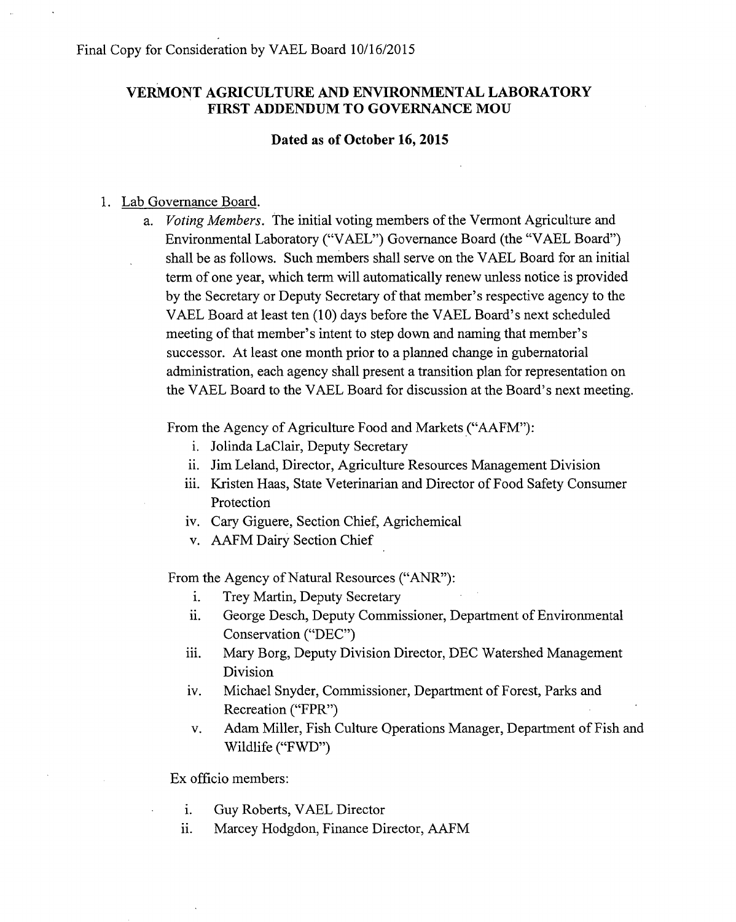## VERMONT AGRICULTURE AND ENVIRONMENTAL LABORATORY FIRST ADDENDUM TO GOVERNANCE MOU

## Dated as of October 16, 2015

## 1. Lab Governance Board.

a. *Voting Members.* The initial voting members of the Vermont Agriculture and Environmental Laboratory ("VAEL") Governance Board (the "VAEL Board") shall be as follows. Such members shall serve on the VAEL Board for an initial term of one year, which term will automatically renew unless notice is provided by the Secretary or Deputy Secretary of that member's respective agency to the VAEL Board at least ten (10) days before the VAEL Board's next scheduled meeting of that member's intent to step down and naming that member's successor. At least one month prior to a planned change in gubernatorial administration, each agency shall present a transition plan for representation on the VAEL Board to the VAEL Board for discussion at the Board's next meeting.

From the Agency of Agriculture Food and Markets ("AAFM"):

- i. Jolinda LaClair, Deputy Secretary
- ii. Jim Leland, Director, Agriculture Resources Management Division
- iii. Kristen Haas, State Veterinarian and Director of Food Safety Consumer Protection
- iv. Cary Giguere, Section Chief, Agrichemical
- v. AAFM Dairy Section Chief

From the Agency of Natural Resources ("ANR"):

- i. Trey Martin, Deputy Secretary
- ii. George Desch, Deputy Commissioner, Department of Environmental Conservation ("DEC")
- iii. Mary Borg, Deputy Division Director, DEC Watershed Management Division
- iv. Michael Snyder, Commissioner, Department of Forest, Parks and Recreation ("FPR")
- v. Adam Miller, Fish Culture Operations Manager, Department of Fish and Wildlife ("FWD")

Ex officio members:

- i. Guy Roberts, VAEL Director
- ii. Marcey Hodgdon, Finance Director, AAFM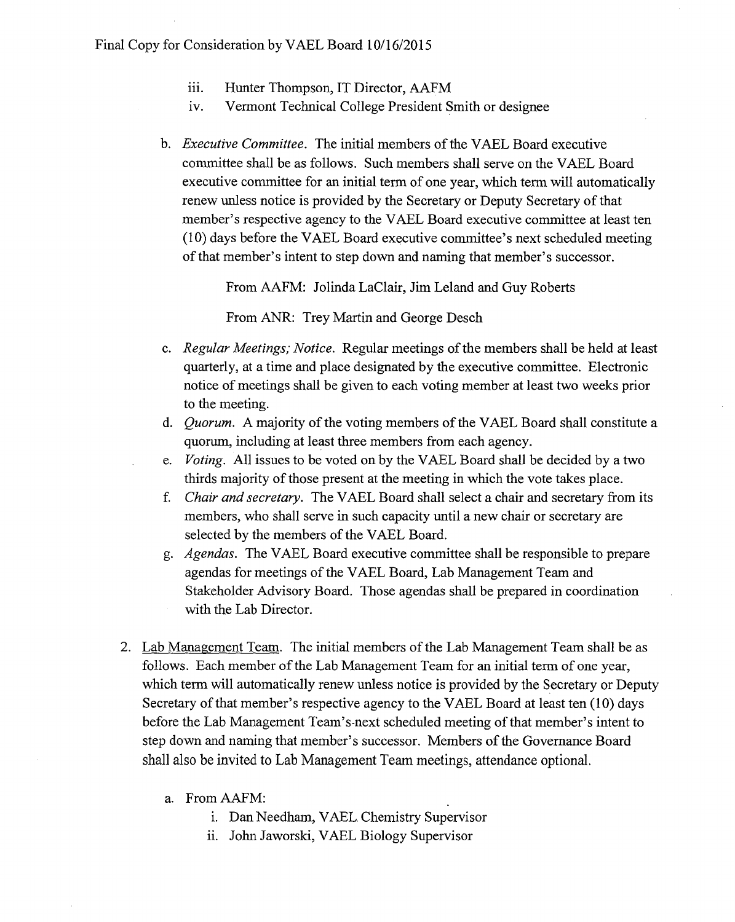- iii. Hunter Thompson, IT Director, AAFM
- iv. Vermont Technical College President Smith or designee
- *b. Executive Committee.* The initial members of the VAEL Board executive committee shall be as follows. Such members shall serve on the VAEL Board executive committee for an initial term of one year, which term will automatically renew unless notice is provided by the Secretary or Deputy Secretary of that member's respective agency to the VAEL Board executive committee at least ten (10) days before the VAEL Board executive committee's next scheduled meeting of that member's intent to step down and naming that member's successor.

From AAFM: Jolinda LaClair, Jim Leland and Guy Roberts

From ANR: Trey Martin and George Desch

- *c. Regular Meetings; Notice.* Regular meetings of the members shall be held at least quarterly, at a time and place designated by the executive committee. Electronic notice of meetings shall be given to each voting member at least two weeks prior to the meeting.
- *d. Quorum.* A majority of the voting members of the VAEL Board shall constitute a quorum, including at least three members from each agency.
- *e. Voting.* All issues to be voted on by the VAEL Board shall be decided by a two thirds majority of those present at the meeting in which the vote takes place.
- *f. Chair and secretary.* The VAEL Board shall select a chair and secretary from its members, who shall serve in such capacity until a new chair or secretary are selected by the members of the VAEL Board.
- *g. Agendas.* The VAEL Board executive committee shall be responsible to prepare agendas for meetings of the VAEL Board, Lab Management Team and Stakeholder Advisory Board. Those agendas shall be prepared in coordination with the Lab Director.
- 2. Lab Management Team. The initial members of the Lab Management Team shall be as follows. Each member of the Lab Management Team for an initial term of one year, which term will automatically renew unless notice is provided by the Secretary or Deputy Secretary of that member's respective agency to the VAEL Board at least ten (10) days before the Lab Management Team's-next scheduled meeting of that member's intent to step down and naming that member's successor. Members of the Governance Board shall also be invited to Lab Management Team meetings, attendance optional.
	- a. From AAFM:
		- i. Dan Needham, VAEL Chemistry Supervisor
		- ii. John Jaworski, VAEL Biology Supervisor